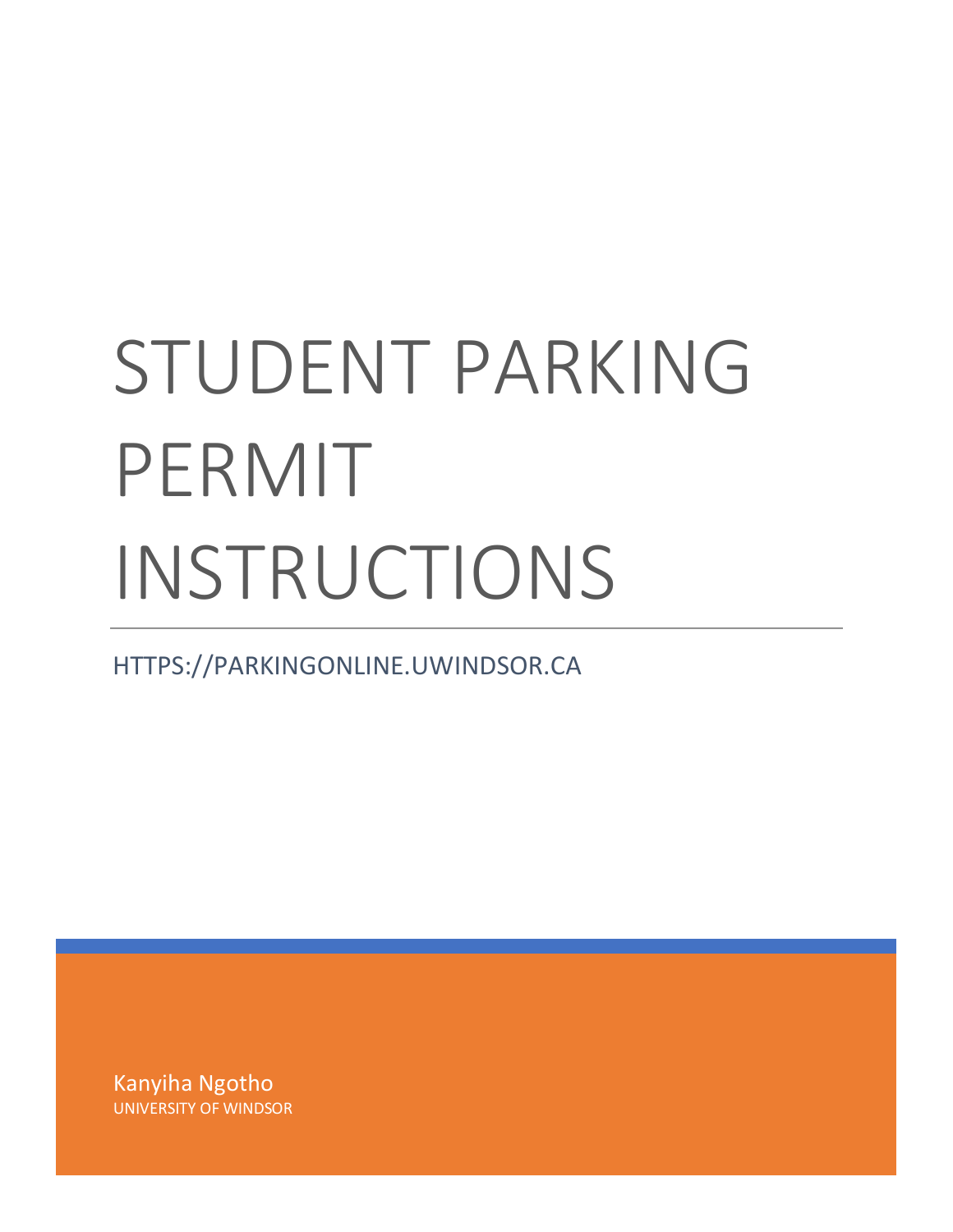## STUDENT PARKING PERMIT INSTRUCTIONS

HTTPS://PARKINGONLINE.UWINDSOR.CA

Kanyiha Ngotho UNIVERSITY OF WINDSOR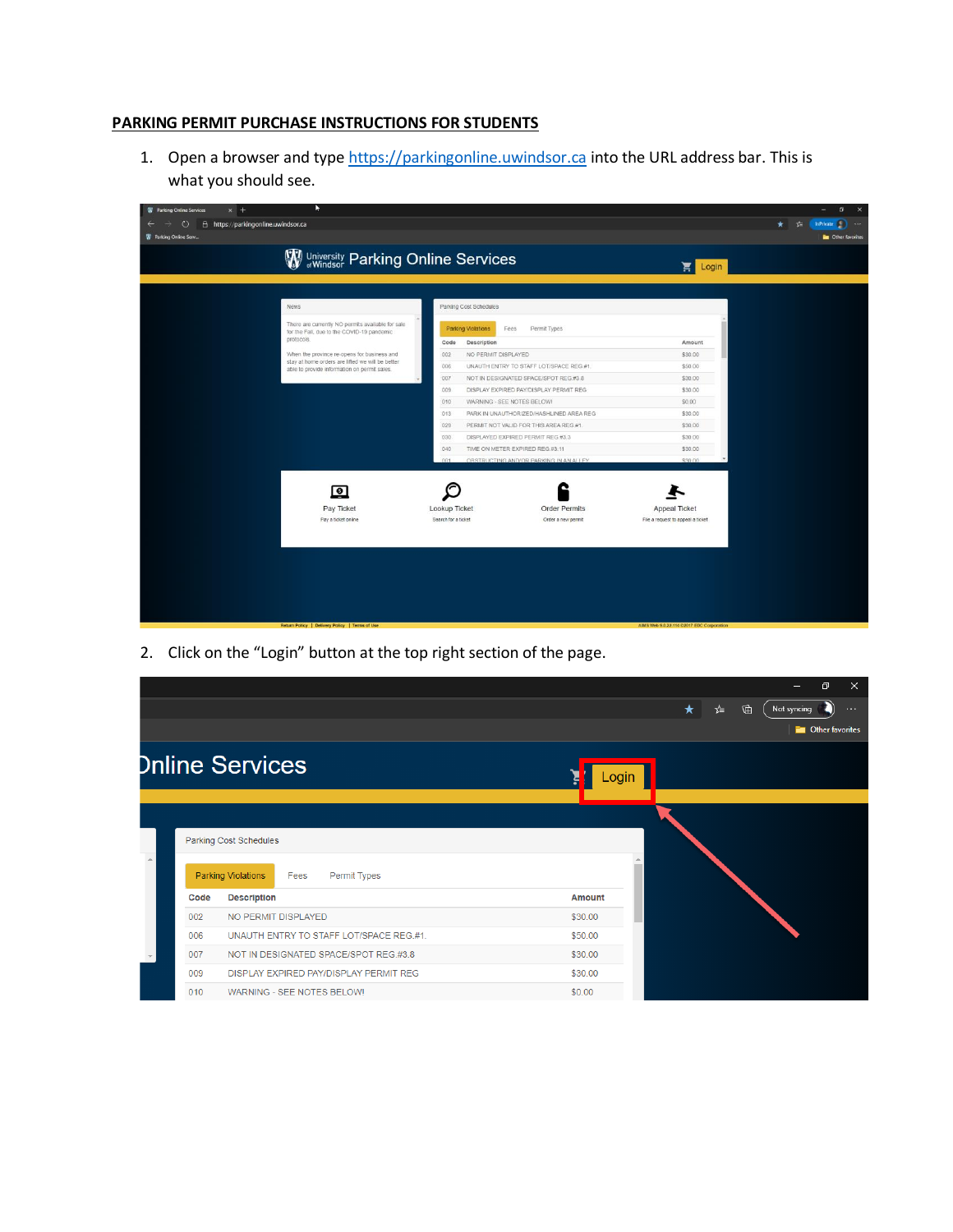## **PARKING PERMIT PURCHASE INSTRUCTIONS FOR STUDENTS**

1. Open a browser and typ[e https://parkingonline.uwindsor.ca](https://parkingonline.uwindsor.ca/) into the URL address bar. This is what you should see.

| <b>W</b> Parking Online Services<br>$\times$ +<br>$\circ$<br>$\leftarrow$<br>$\frac{1}{2} \int_{-\infty}^{\infty} \frac{dx}{y} \, dy = \frac{1}{2} \int_{-\infty}^{\infty} \frac{1}{2} \int_{-\infty}^{\infty} \frac{1}{2} \, dy = \frac{1}{2} \int_{-\infty}^{\infty} \frac{1}{2} \, dy = \frac{1}{2} \int_{-\infty}^{\infty} \frac{1}{2} \, dy = \frac{1}{2} \int_{-\infty}^{\infty} \frac{1}{2} \, dy = \frac{1}{2} \int_{-\infty}^{\infty} \frac{1}{2} \, dy = \frac{1}{2} \int_{-\infty}^{\infty} \frac$ | Þ                                                                                                                                                                                                                                                                |                                                                                                                                                                                                                                                                                                                                                                                                                                                                                          |                                                                                                          | $\sigma$<br>$\mathbf{\times}$<br>InPrivate ( ) |
|---------------------------------------------------------------------------------------------------------------------------------------------------------------------------------------------------------------------------------------------------------------------------------------------------------------------------------------------------------------------------------------------------------------------------------------------------------------------------------------------------------------|------------------------------------------------------------------------------------------------------------------------------------------------------------------------------------------------------------------------------------------------------------------|------------------------------------------------------------------------------------------------------------------------------------------------------------------------------------------------------------------------------------------------------------------------------------------------------------------------------------------------------------------------------------------------------------------------------------------------------------------------------------------|----------------------------------------------------------------------------------------------------------|------------------------------------------------|
| A https://parkingonline.uwindsor.ca<br>Parking Online Serv                                                                                                                                                                                                                                                                                                                                                                                                                                                    |                                                                                                                                                                                                                                                                  |                                                                                                                                                                                                                                                                                                                                                                                                                                                                                          |                                                                                                          | * *  <br><b>De</b> Other favorites             |
|                                                                                                                                                                                                                                                                                                                                                                                                                                                                                                               | W University Parking Online Services                                                                                                                                                                                                                             |                                                                                                                                                                                                                                                                                                                                                                                                                                                                                          | Login                                                                                                    |                                                |
|                                                                                                                                                                                                                                                                                                                                                                                                                                                                                                               | <b>News</b>                                                                                                                                                                                                                                                      | Parking Cost Schedules                                                                                                                                                                                                                                                                                                                                                                                                                                                                   |                                                                                                          |                                                |
|                                                                                                                                                                                                                                                                                                                                                                                                                                                                                                               | There are currently NO permits available for sale<br>for the Fall, due to the COVID-19 pandemic<br>protocols.<br>When the province re-opens for business and<br>stay at home orders are lifted we will be better<br>able to provide information on permit sales. | <b>Parking Violations</b><br>Fees<br>Permit Types<br>Description<br>Code<br>002<br>NO PERMIT DISPLAYED<br>006<br>UNAUTH ENTRY TO STAFF LOT/SPACE REG.#1.<br>007<br>NOT IN DESIGNATED SPACE/SPOT REG.#3.8<br>.009<br>DISPLAY EXPIRED PAY/DISPLAY PERMIT REG<br>010<br>WARNING - SEE NOTES BELOWI<br>013<br>PARK IN UNAUTHORIZED/HASHLINED AREA REG<br>029<br>PERMIT NOT VALID FOR THIS AREA REG.#1.<br>030<br>DISPLAYED EXPIRED PERMIT REG #3.3<br>040<br>TIME ON METER EXPIRED REG.#3.11 | Amount<br>\$30.00<br>\$50.00<br>\$30.00<br>\$30.00<br>\$0.00<br>\$30.00<br>\$30.00<br>\$30.00<br>\$30.00 |                                                |
|                                                                                                                                                                                                                                                                                                                                                                                                                                                                                                               | $\overline{•}$<br>Pay Ticket<br>Pay a ticket online                                                                                                                                                                                                              | OBSTRUCTING AND/OR PARKING IN AN ALLEY<br>001<br>Lookup Ticket<br><b>Order Permits</b><br>Search for a ticket<br>Order a new permit                                                                                                                                                                                                                                                                                                                                                      | \$30.00<br><b>Appeal Ticket</b><br>File a request to appeal a ticket                                     |                                                |
|                                                                                                                                                                                                                                                                                                                                                                                                                                                                                                               | Return Policy   Delivery Policy   Terms of Use                                                                                                                                                                                                                   |                                                                                                                                                                                                                                                                                                                                                                                                                                                                                          | AIMS Web 9.0.22.114 @2017 EDC Corporation                                                                |                                                |

2. Click on the "Login" button at the top right section of the page.

|   |      |                                                   | ο                                      | $\times$      |
|---|------|---------------------------------------------------|----------------------------------------|---------------|
|   |      |                                                   | $\star$<br>☆≡<br>龟<br>Not syncing<br>n | $\sim$ $\sim$ |
|   |      |                                                   | <b>Exerc</b> Other favorites           |               |
|   |      | <b>Dnline Services</b>                            | Login                                  |               |
|   |      |                                                   |                                        |               |
|   |      | Parking Cost Schedules                            |                                        |               |
| A |      | <b>Parking Violations</b><br>Permit Types<br>Fees |                                        |               |
|   | Code | <b>Description</b>                                | Amount                                 |               |
|   | 002  | NO PERMIT DISPLAYED                               | \$30.00                                |               |
|   | 006  | UNAUTH ENTRY TO STAFF LOT/SPACE REG.#1.           | \$50.00                                |               |
|   | 007  | NOT IN DESIGNATED SPACE/SPOT REG.#3.8             | \$30.00                                |               |
|   | 009  | DISPLAY EXPIRED PAY/DISPLAY PERMIT REG            | \$30.00                                |               |
|   | 010  | WARNING - SEE NOTES BELOW!                        | \$0.00                                 |               |
|   |      |                                                   |                                        |               |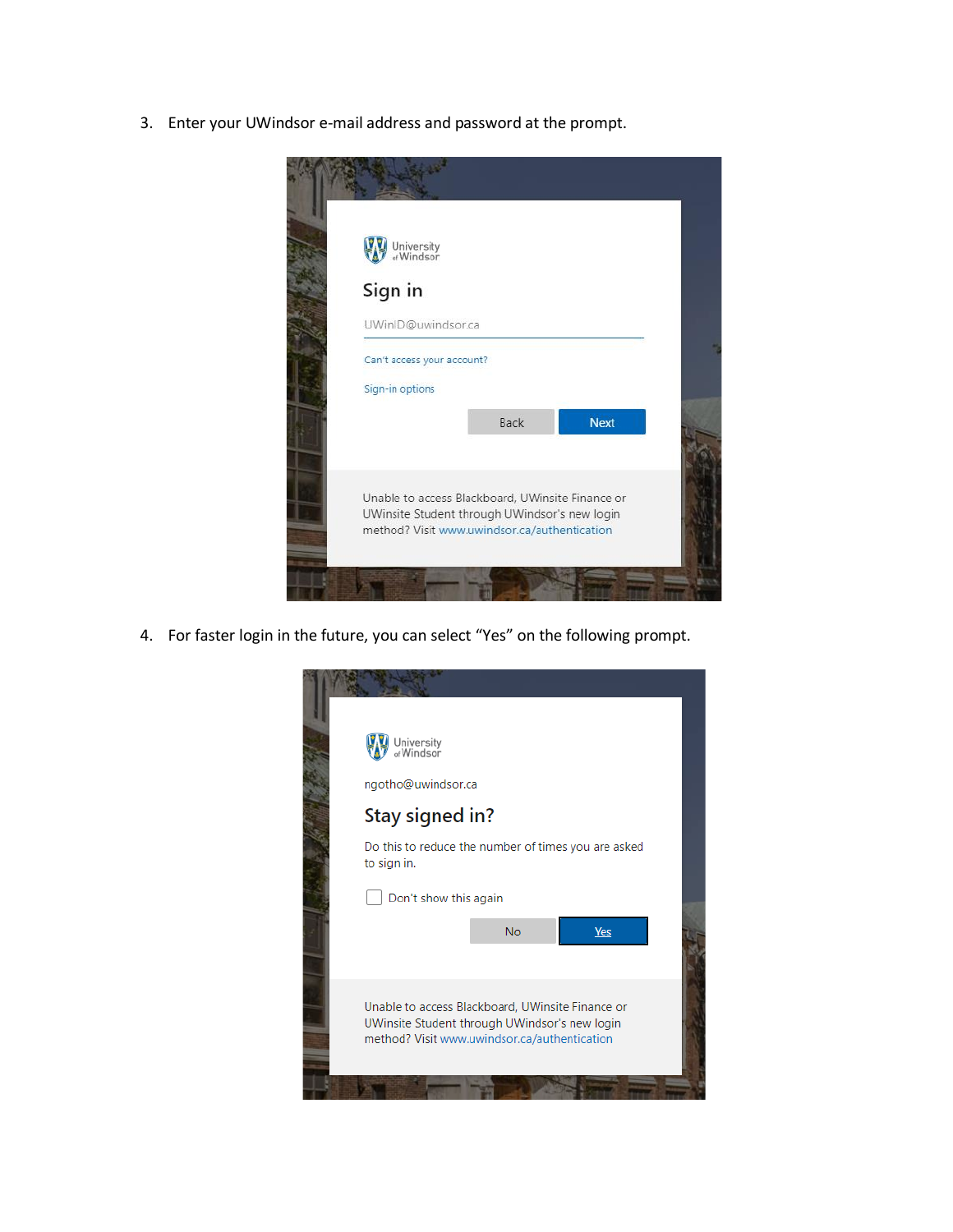3. Enter your UWindsor e-mail address and password at the prompt.

| University<br>or Windsor                         |             |             |
|--------------------------------------------------|-------------|-------------|
| Sign in                                          |             |             |
| UWinID@uwindsor.ca                               |             |             |
| Can't access your account?                       |             |             |
| Sign-in options                                  |             |             |
|                                                  | <b>Back</b> | <b>Next</b> |
|                                                  |             |             |
| Unable to access Blackboard, UWinsite Finance or |             |             |

4. For faster login in the future, you can select "Yes" on the following prompt.

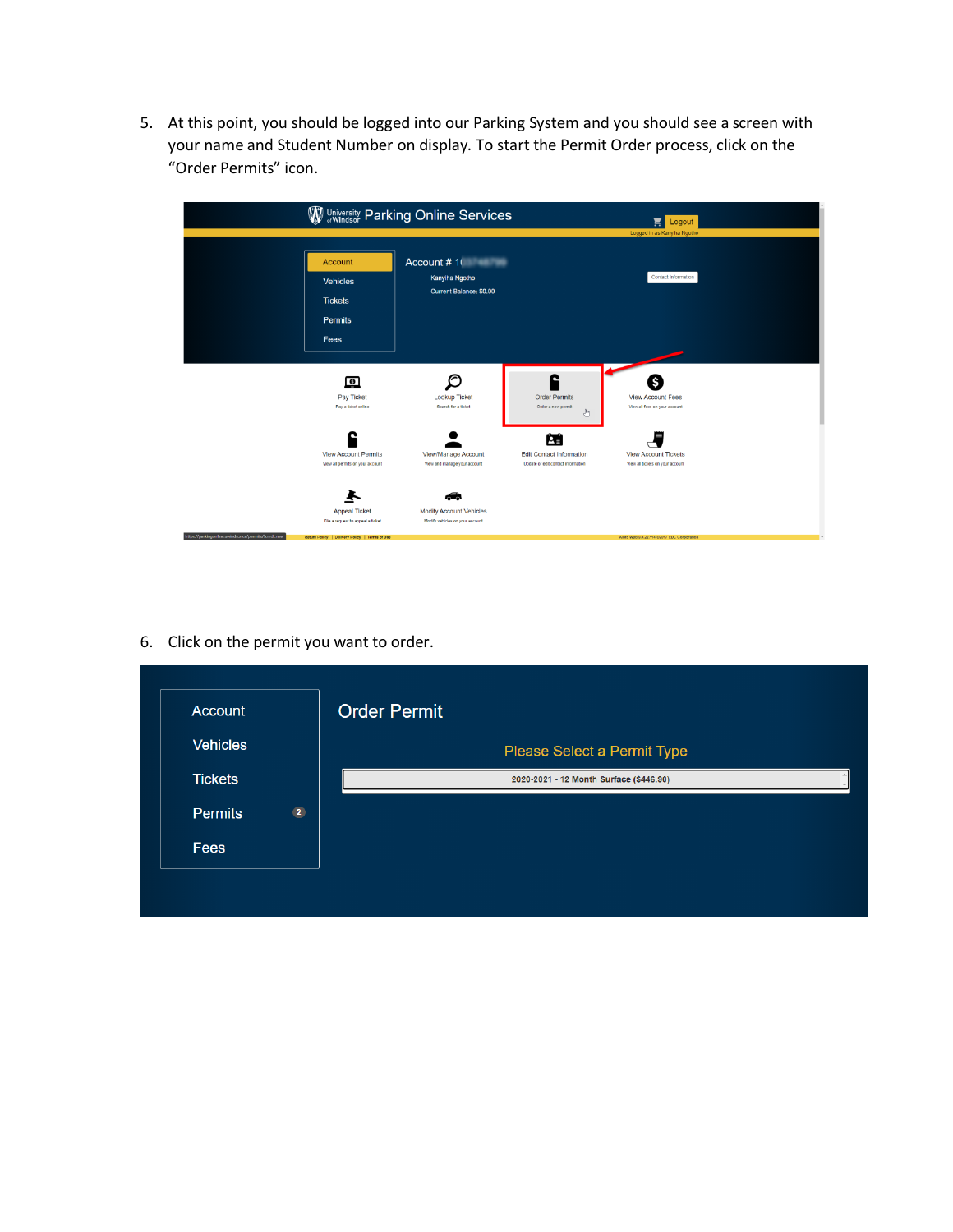5. At this point, you should be logged into our Parking System and you should see a screen with your name and Student Number on display. To start the Permit Order process, click on the "Order Permits" icon.



6. Click on the permit you want to order.

| Account         |                | <b>Order Permit</b>                     |
|-----------------|----------------|-----------------------------------------|
| <b>Vehicles</b> |                | Please Select a Permit Type             |
| <b>Tickets</b>  |                | 2020-2021 - 12 Month Surface (\$446.90) |
| <b>Permits</b>  | $\overline{2}$ |                                         |
| Fees            |                |                                         |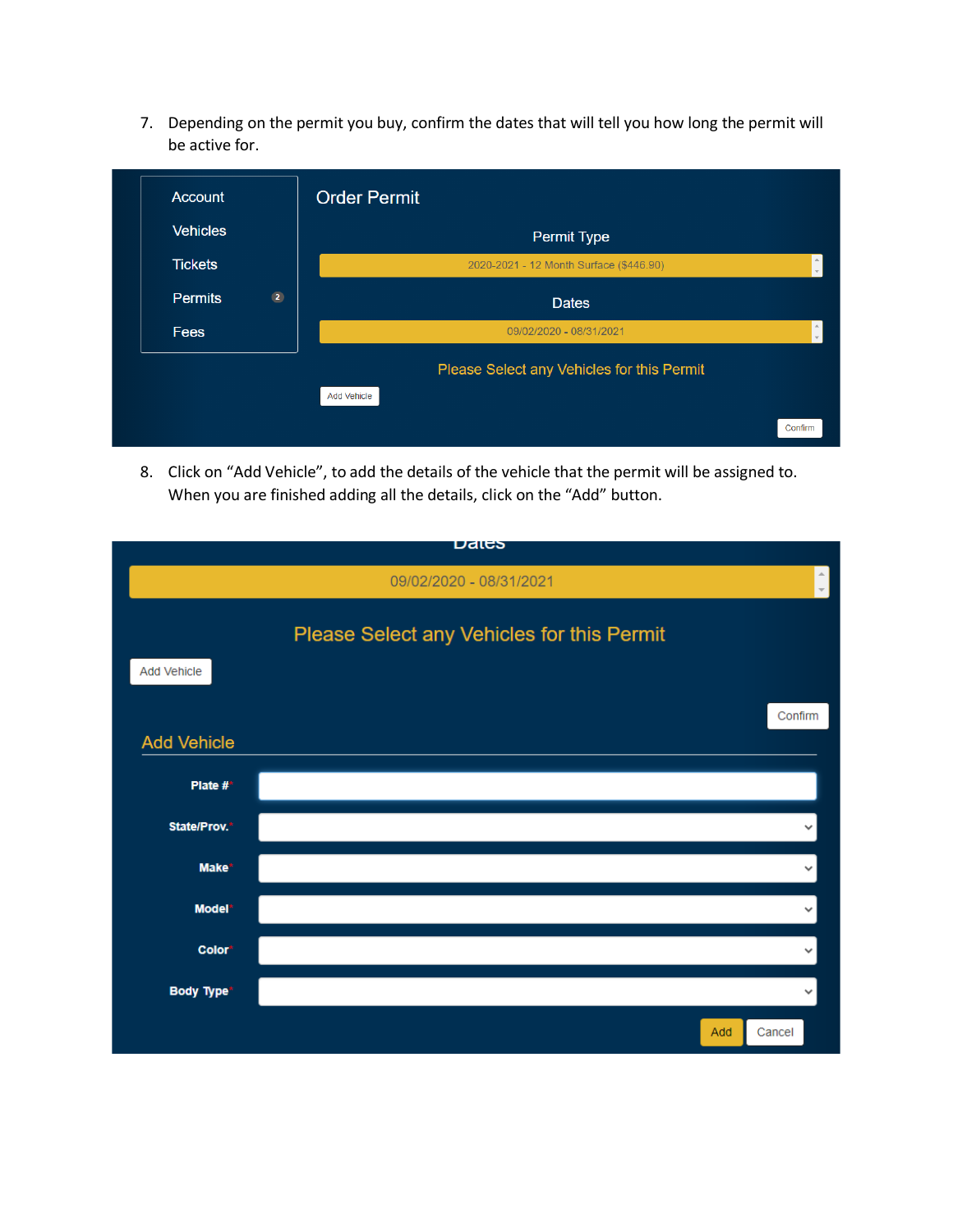7. Depending on the permit you buy, confirm the dates that will tell you how long the permit will be active for.

| Account         |                | <b>Order Permit</b>                        |         |
|-----------------|----------------|--------------------------------------------|---------|
| <b>Vehicles</b> |                | Permit Type                                |         |
| <b>Tickets</b>  |                | 2020-2021 - 12 Month Surface (\$446.90)    |         |
| <b>Permits</b>  | $\overline{2}$ | <b>Dates</b>                               |         |
| <b>Fees</b>     |                | 09/02/2020 - 08/31/2021                    |         |
|                 |                | Please Select any Vehicles for this Permit |         |
|                 |                | <b>Add Vehicle</b>                         |         |
|                 |                |                                            | Confirm |

8. Click on "Add Vehicle", to add the details of the vehicle that the permit will be assigned to. When you are finished adding all the details, click on the "Add" button.

|                    | Dales                                      |              |
|--------------------|--------------------------------------------|--------------|
|                    | 09/02/2020 - 08/31/2021                    |              |
|                    | Please Select any Vehicles for this Permit |              |
| Add Vehicle        |                                            |              |
|                    |                                            | Confirm      |
| <b>Add Vehicle</b> |                                            |              |
| Plate $#^*$        |                                            |              |
| State/Prov.*       |                                            |              |
| Make*              |                                            | v            |
| Model*             |                                            | $\checkmark$ |
| Color <sup>*</sup> |                                            |              |
| <b>Body Type*</b>  |                                            | $\checkmark$ |
|                    | Add                                        | Cancel       |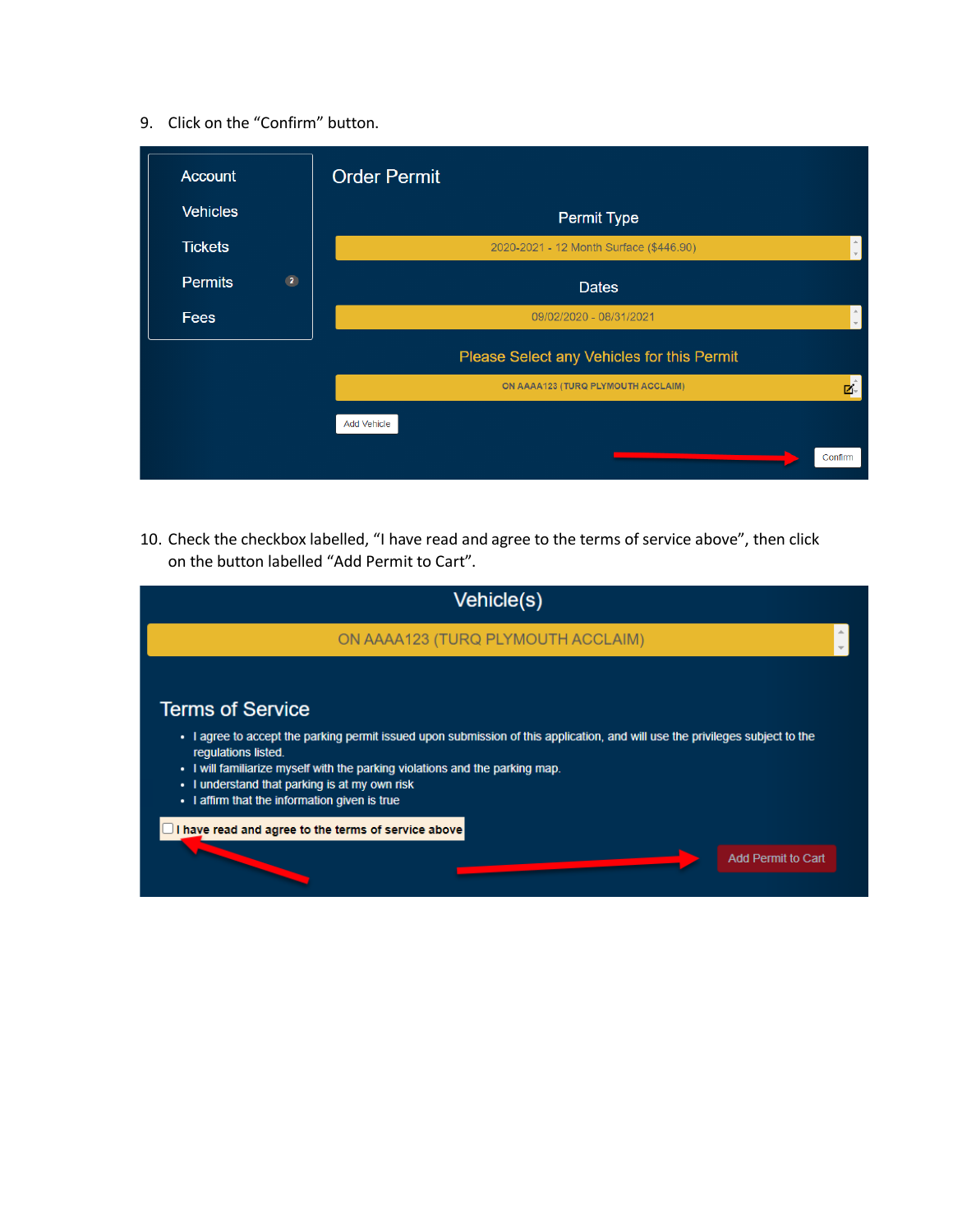## 9. Click on the "Confirm" button.

| Account         |                | <b>Order Permit</b>                        |
|-----------------|----------------|--------------------------------------------|
| <b>Vehicles</b> |                | <b>Permit Type</b>                         |
| <b>Tickets</b>  |                | 2020-2021 - 12 Month Surface (\$446.90)    |
| <b>Permits</b>  | $\overline{2}$ | <b>Dates</b>                               |
| Fees            |                | 09/02/2020 - 08/31/2021                    |
|                 |                | Please Select any Vehicles for this Permit |
|                 |                | ON AAAA123 (TURQ PLYMOUTH ACCLAIM)<br>Ζ.   |
|                 |                | <b>Add Vehicle</b>                         |
|                 |                | Confirm                                    |

10. Check the checkbox labelled, "I have read and agree to the terms of service above", then click on the button labelled "Add Permit to Cart".

| Vehicle(s)                                                                                                                                                                                                                                                                                                                                                                                                                                                      |
|-----------------------------------------------------------------------------------------------------------------------------------------------------------------------------------------------------------------------------------------------------------------------------------------------------------------------------------------------------------------------------------------------------------------------------------------------------------------|
| ON AAAA123 (TURQ PLYMOUTH ACCLAIM)                                                                                                                                                                                                                                                                                                                                                                                                                              |
| <b>Terms of Service</b><br>. I agree to accept the parking permit issued upon submission of this application, and will use the privileges subject to the<br>requlations listed.<br>• I will familiarize myself with the parking violations and the parking map.<br>I understand that parking is at my own risk<br>٠<br>• I affirm that the information given is true<br>$\Box$ I have read and agree to the terms of service above<br><b>Add Permit to Cart</b> |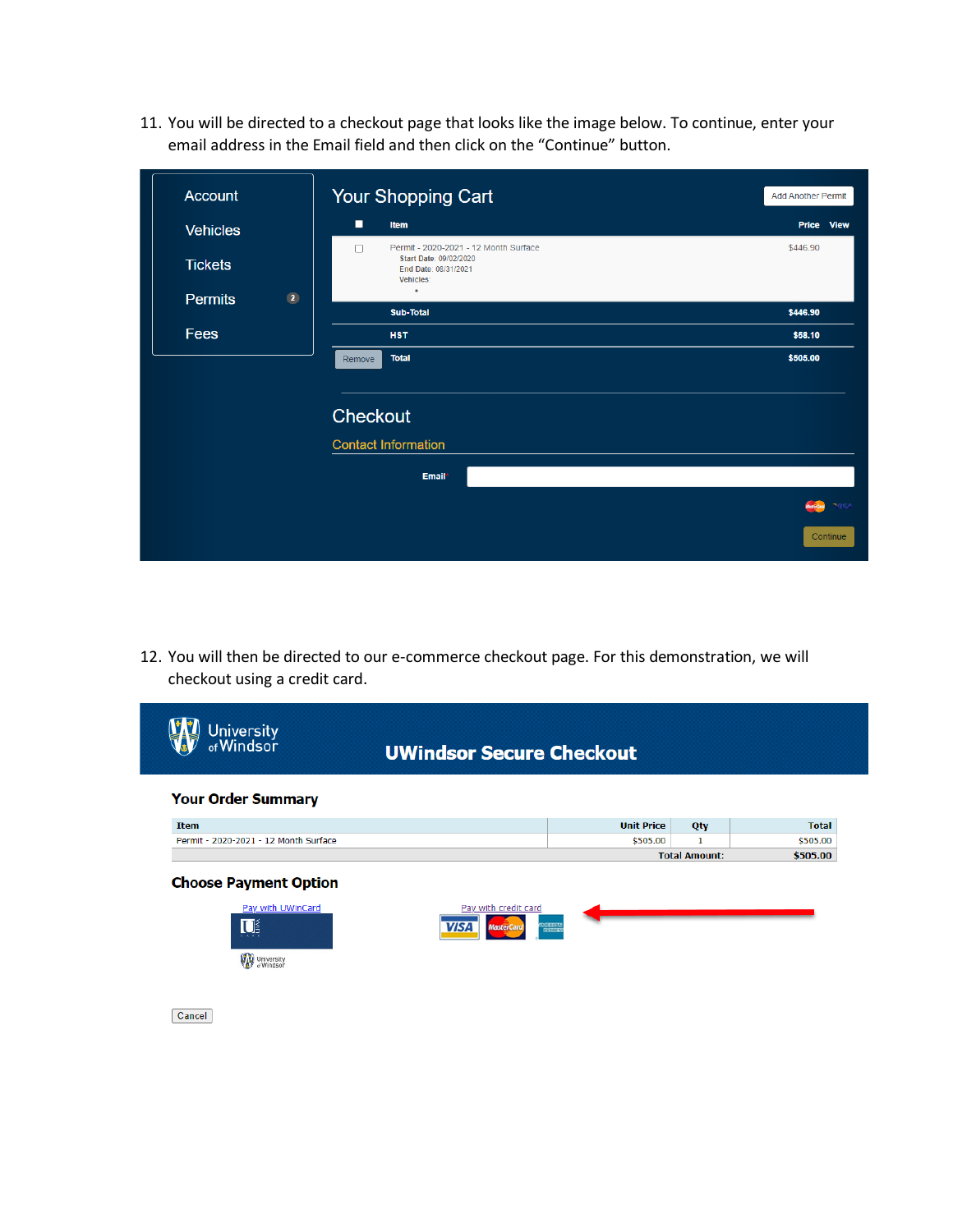11. You will be directed to a checkout page that looks like the image below. To continue, enter your email address in the Email field and then click on the "Continue" button.

| <b>Account</b>  |                | Your Shopping Cart                                                                                        | <b>Add Another Permit</b>        |
|-----------------|----------------|-----------------------------------------------------------------------------------------------------------|----------------------------------|
| <b>Vehicles</b> |                | о<br>Item                                                                                                 | Price View                       |
| <b>Tickets</b>  |                | Permit - 2020-2021 - 12 Month Surface<br>Π<br>Start Date: 09/02/2020<br>End Date: 08/31/2021<br>Vehicles: | \$446.90                         |
| <b>Permits</b>  | $\overline{2}$ | $\bullet$<br><b>Sub-Total</b>                                                                             | \$446.90                         |
| Fees            |                | <b>HST</b>                                                                                                | \$58.10                          |
|                 |                | <b>Total</b><br>Remove                                                                                    | \$505.00                         |
|                 |                | <b>Checkout</b>                                                                                           |                                  |
|                 |                | <b>Contact Information</b>                                                                                |                                  |
|                 |                | Email*                                                                                                    |                                  |
|                 |                |                                                                                                           | <b>MISA</b><br><b>MasterCard</b> |
|                 |                |                                                                                                           | Continue                         |

12. You will then be directed to our e-commerce checkout page. For this demonstration, we will checkout using a credit card.

| University<br>of Windsor                                                           | <b>UWindsor Secure Checkout</b>                                                |                   |                      |              |
|------------------------------------------------------------------------------------|--------------------------------------------------------------------------------|-------------------|----------------------|--------------|
| <b>Your Order Summary</b>                                                          |                                                                                |                   |                      |              |
| <b>Item</b>                                                                        |                                                                                | <b>Unit Price</b> | Qty                  | <b>Total</b> |
| Permit - 2020-2021 - 12 Month Surface                                              |                                                                                | \$505.00          | $\mathbf{1}$         | \$505.00     |
|                                                                                    |                                                                                |                   | <b>Total Amount:</b> | \$505.00     |
| <b>Choose Payment Option</b><br>Pay with UWinCard<br>U<br>University<br>of Windsor | Pay with credit card<br><b>VISA</b><br><b>EXTERNATION</b><br><b>MasterCard</b> |                   |                      |              |
|                                                                                    |                                                                                |                   |                      |              |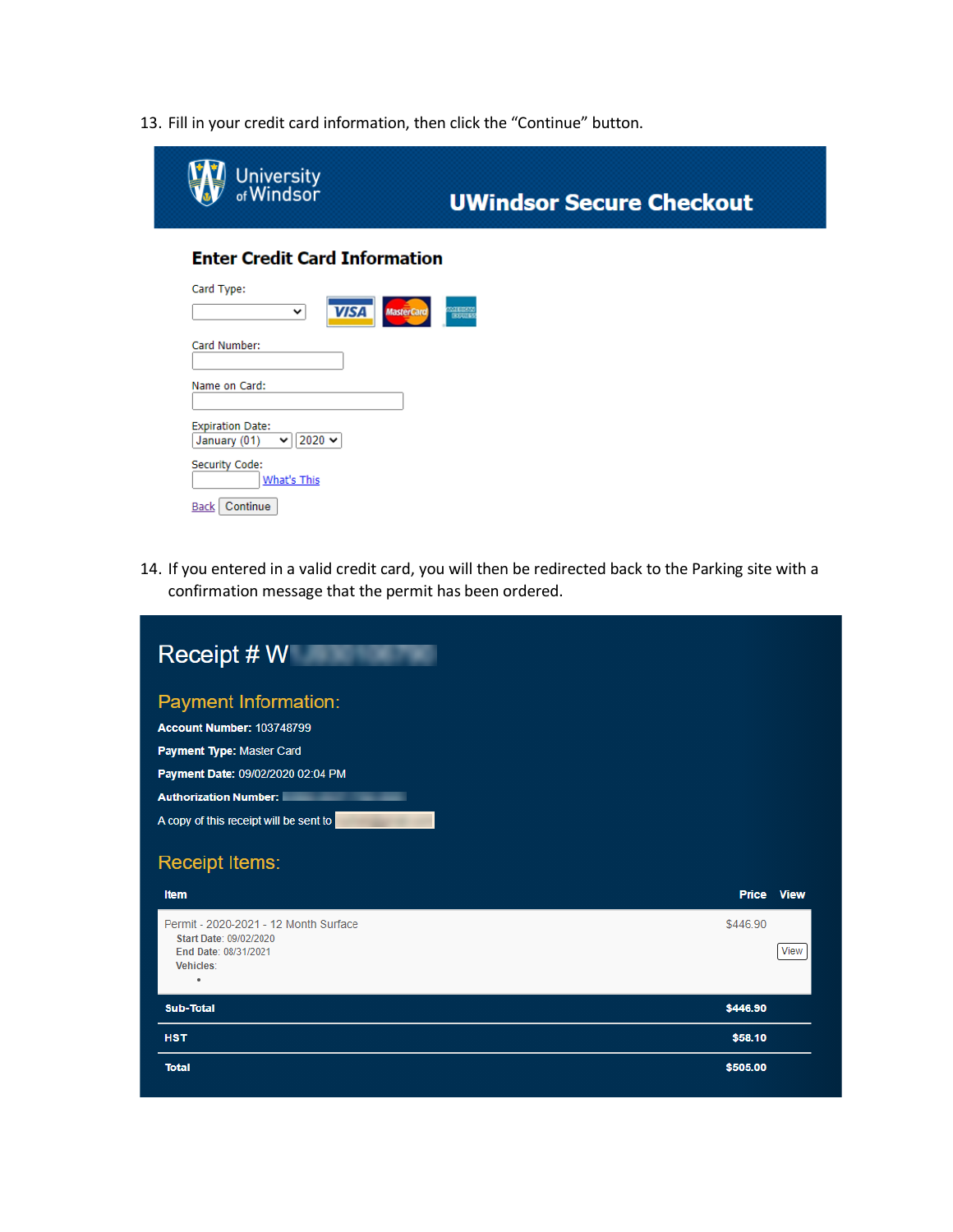13. Fill in your credit card information, then click the "Continue" button.

| University<br>of Windsor                               | <b>UWindsor Secure Checkout</b>                       |
|--------------------------------------------------------|-------------------------------------------------------|
| <b>Enter Credit Card Information</b>                   |                                                       |
| Card Type:<br><b>VISA</b><br>$\check{~}$               | <b>MILITARY</b><br><b>MasterCard</b><br><b>DOULES</b> |
| Card Number:                                           |                                                       |
| Name on Card:                                          |                                                       |
| <b>Expiration Date:</b><br>2020 ★<br>January (01)<br>◡ |                                                       |
| Security Code:<br><b>What's This</b>                   |                                                       |
| Continue<br>Back                                       |                                                       |

14. If you entered in a valid credit card, you will then be redirected back to the Parking site with a confirmation message that the permit has been ordered.

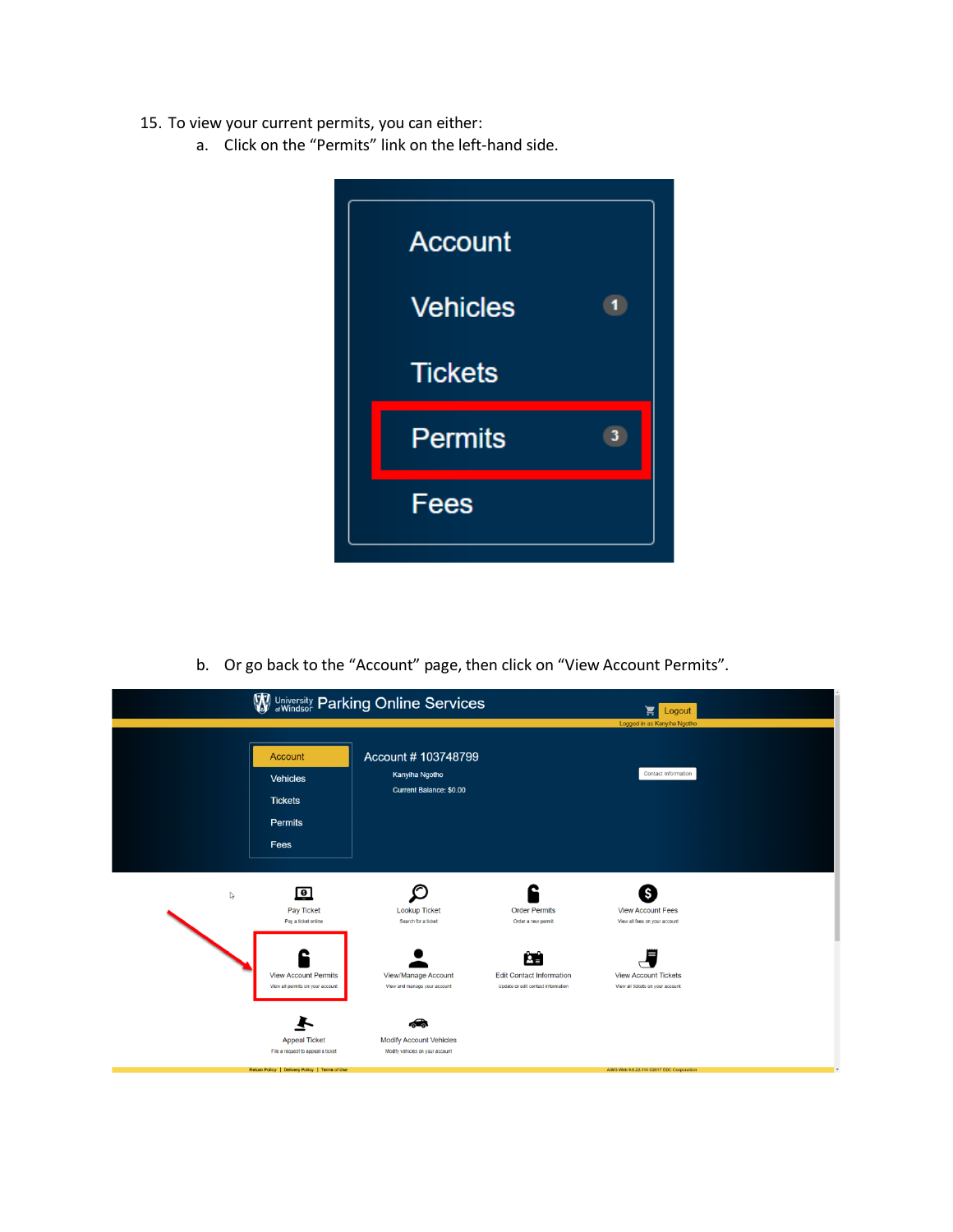- 15. To view your current permits, you can either:
	- a. Click on the "Permits" link on the left-hand side.



b. Or go back to the "Account" page, then click on "View Account Permits".